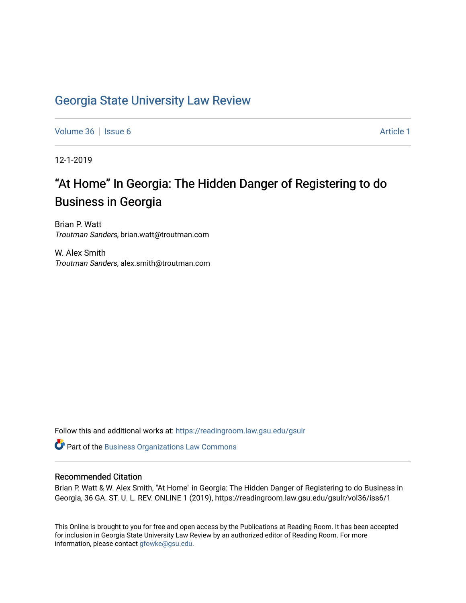## [Georgia State University Law Review](https://readingroom.law.gsu.edu/gsulr)

[Volume 36](https://readingroom.law.gsu.edu/gsulr/vol36) | [Issue 6](https://readingroom.law.gsu.edu/gsulr/vol36/iss6) Article 1

12-1-2019

# "At Home" In Georgia: The Hidden Danger of Registering to do Business in Georgia

Brian P. Watt Troutman Sanders, brian.watt@troutman.com

W. Alex Smith Troutman Sanders, alex.smith@troutman.com

Follow this and additional works at: [https://readingroom.law.gsu.edu/gsulr](https://readingroom.law.gsu.edu/gsulr?utm_source=readingroom.law.gsu.edu%2Fgsulr%2Fvol36%2Fiss6%2F1&utm_medium=PDF&utm_campaign=PDFCoverPages) 

Part of the [Business Organizations Law Commons](http://network.bepress.com/hgg/discipline/900?utm_source=readingroom.law.gsu.edu%2Fgsulr%2Fvol36%2Fiss6%2F1&utm_medium=PDF&utm_campaign=PDFCoverPages)

## Recommended Citation

Brian P. Watt & W. Alex Smith, "At Home" in Georgia: The Hidden Danger of Registering to do Business in Georgia, 36 GA. ST. U. L. REV. ONLINE 1 (2019), https://readingroom.law.gsu.edu/gsulr/vol36/iss6/1

This Online is brought to you for free and open access by the Publications at Reading Room. It has been accepted for inclusion in Georgia State University Law Review by an authorized editor of Reading Room. For more information, please contact [gfowke@gsu.edu.](mailto:gfowke@gsu.edu)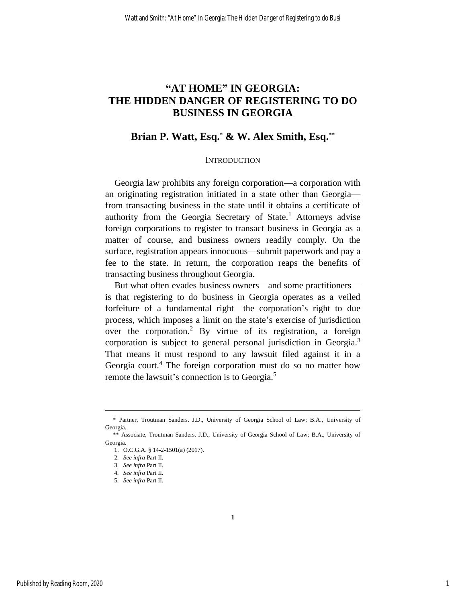## **"AT HOME" IN GEORGIA: THE HIDDEN DANGER OF REGISTERING TO DO BUSINESS IN GEORGIA**

## **Brian P. Watt, Esq.\* & W. Alex Smith, Esq.\*\***

## **INTRODUCTION**

Georgia law prohibits any foreign corporation—a corporation with an originating registration initiated in a state other than Georgia from transacting business in the state until it obtains a certificate of authority from the Georgia Secretary of State.<sup>1</sup> Attorneys advise foreign corporations to register to transact business in Georgia as a matter of course, and business owners readily comply. On the surface, registration appears innocuous—submit paperwork and pay a fee to the state. In return, the corporation reaps the benefits of transacting business throughout Georgia.

But what often evades business owners—and some practitioners is that registering to do business in Georgia operates as a veiled forfeiture of a fundamental right—the corporation's right to due process, which imposes a limit on the state's exercise of jurisdiction over the corporation.<sup>2</sup> By virtue of its registration, a foreign corporation is subject to general personal jurisdiction in Georgia.<sup>3</sup> That means it must respond to any lawsuit filed against it in a Georgia court.<sup>4</sup> The foreign corporation must do so no matter how remote the lawsuit's connection is to Georgia.<sup>5</sup>

**1**

 <sup>\*</sup> Partner, Troutman Sanders. J.D., University of Georgia School of Law; B.A., University of Georgia.

 <sup>\*\*</sup> Associate, Troutman Sanders. J.D., University of Georgia School of Law; B.A., University of Georgia.

<sup>1.</sup> O.C.G.A. § 14-2-1501(a) (2017).

<sup>2</sup>*. See infra* Part II.

<sup>3</sup>*. See infra* Part II.

<sup>4</sup>*. See infra* Part II.

<sup>5</sup>*. See infra* Part II.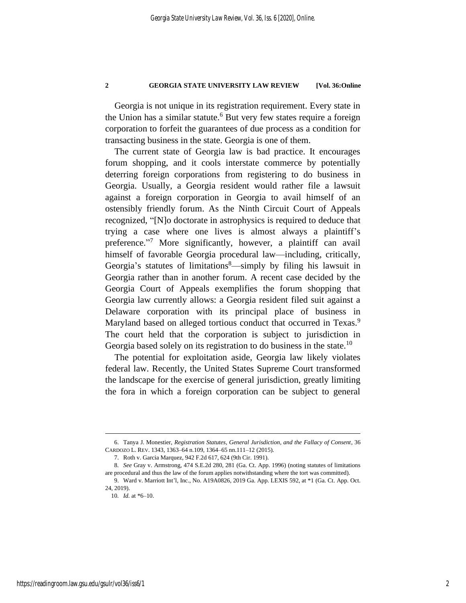Georgia is not unique in its registration requirement. Every state in the Union has a similar statute.<sup>6</sup> But very few states require a foreign corporation to forfeit the guarantees of due process as a condition for transacting business in the state. Georgia is one of them.

The current state of Georgia law is bad practice. It encourages forum shopping, and it cools interstate commerce by potentially deterring foreign corporations from registering to do business in Georgia. Usually, a Georgia resident would rather file a lawsuit against a foreign corporation in Georgia to avail himself of an ostensibly friendly forum. As the Ninth Circuit Court of Appeals recognized, "[N]o doctorate in astrophysics is required to deduce that trying a case where one lives is almost always a plaintiff's preference."<sup>7</sup> More significantly, however, a plaintiff can avail himself of favorable Georgia procedural law—including, critically, Georgia's statutes of limitations $\delta$ —simply by filing his lawsuit in Georgia rather than in another forum. A recent case decided by the Georgia Court of Appeals exemplifies the forum shopping that Georgia law currently allows: a Georgia resident filed suit against a Delaware corporation with its principal place of business in Maryland based on alleged tortious conduct that occurred in Texas.<sup>9</sup> The court held that the corporation is subject to jurisdiction in Georgia based solely on its registration to do business in the state.<sup>10</sup>

The potential for exploitation aside, Georgia law likely violates federal law. Recently, the United States Supreme Court transformed the landscape for the exercise of general jurisdiction, greatly limiting the fora in which a foreign corporation can be subject to general

<sup>6.</sup> Tanya J. Monestier, *Registration Statutes, General Jurisdiction, and the Fallacy of Consent*, 36 CARDOZO L. REV. 1343, 1363–64 n.109, 1364–65 nn.111–12 (2015).

<sup>7.</sup> Roth v. Garcia Marquez, 942 F.2d 617, 624 (9th Cir. 1991).

<sup>8</sup>*. See* Gray v. Armstrong, 474 S.E.2d 280, 281 (Ga. Ct. App. 1996) (noting statutes of limitations are procedural and thus the law of the forum applies notwithstanding where the tort was committed).

<sup>9.</sup> Ward v. Marriott Int'l, Inc., No. A19A0826, 2019 Ga. App. LEXIS 592, at \*1 (Ga. Ct. App. Oct. 24, 2019).

<sup>10</sup>*. Id.* at \*6–10.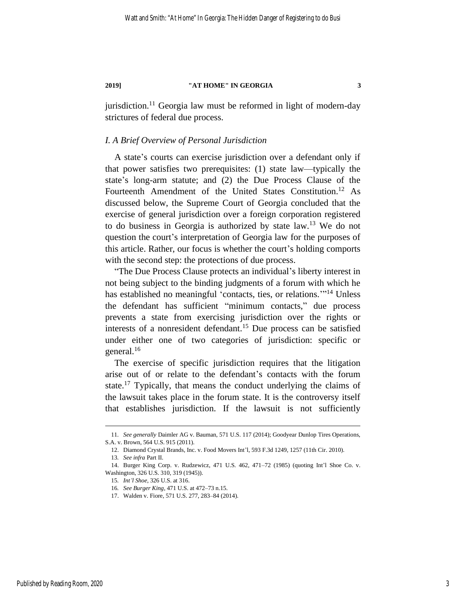jurisdiction.<sup>11</sup> Georgia law must be reformed in light of modern-day strictures of federal due process.

## *I. A Brief Overview of Personal Jurisdiction*

A state's courts can exercise jurisdiction over a defendant only if that power satisfies two prerequisites: (1) state law—typically the state's long-arm statute; and (2) the Due Process Clause of the Fourteenth Amendment of the United States Constitution.<sup>12</sup> As discussed below, the Supreme Court of Georgia concluded that the exercise of general jurisdiction over a foreign corporation registered to do business in Georgia is authorized by state law.<sup>13</sup> We do not question the court's interpretation of Georgia law for the purposes of this article. Rather, our focus is whether the court's holding comports with the second step: the protections of due process.

"The Due Process Clause protects an individual's liberty interest in not being subject to the binding judgments of a forum with which he has established no meaningful 'contacts, ties, or relations."<sup>14</sup> Unless the defendant has sufficient "minimum contacts," due process prevents a state from exercising jurisdiction over the rights or interests of a nonresident defendant.<sup>15</sup> Due process can be satisfied under either one of two categories of jurisdiction: specific or general.<sup>16</sup>

The exercise of specific jurisdiction requires that the litigation arise out of or relate to the defendant's contacts with the forum state.<sup>17</sup> Typically, that means the conduct underlying the claims of the lawsuit takes place in the forum state. It is the controversy itself that establishes jurisdiction. If the lawsuit is not sufficiently

<sup>11</sup>*. See generally* Daimler AG v. Bauman, 571 U.S. 117 (2014); Goodyear Dunlop Tires Operations, S.A. v. Brown, 564 U.S. 915 (2011).

<sup>12.</sup> Diamond Crystal Brands, Inc. v. Food Movers Int'l, 593 F.3d 1249, 1257 (11th Cir. 2010).

<sup>13</sup>*. See infra* Part II.

<sup>14.</sup> Burger King Corp. v. Rudzewicz, 471 U.S. 462, 471–72 (1985) (quoting Int'l Shoe Co. v. Washington, 326 U.S. 310, 319 (1945)).

<sup>15</sup>*. Int'l Shoe*, 326 U.S. at 316.

<sup>16</sup>*. See Burger King*, 471 U.S. at 472–73 n.15.

<sup>17.</sup> Walden v. Fiore, 571 U.S. 277, 283–84 (2014).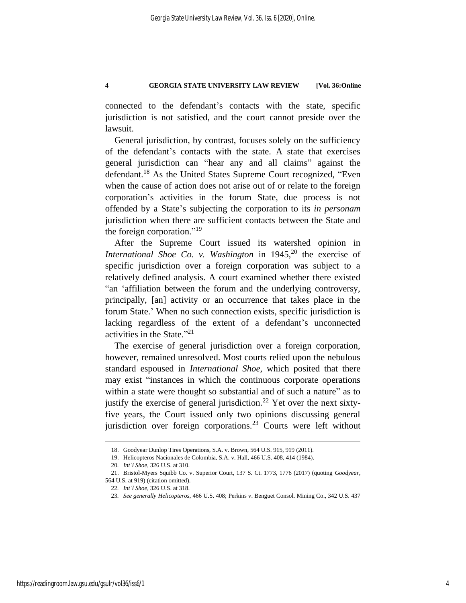connected to the defendant's contacts with the state, specific jurisdiction is not satisfied, and the court cannot preside over the lawsuit.

General jurisdiction, by contrast, focuses solely on the sufficiency of the defendant's contacts with the state. A state that exercises general jurisdiction can "hear any and all claims" against the defendant.<sup>18</sup> As the United States Supreme Court recognized, "Even when the cause of action does not arise out of or relate to the foreign corporation's activities in the forum State, due process is not offended by a State's subjecting the corporation to its *in personam* jurisdiction when there are sufficient contacts between the State and the foreign corporation."<sup>19</sup>

After the Supreme Court issued its watershed opinion in *International Shoe Co. v. Washington* in 1945,<sup>20</sup> the exercise of specific jurisdiction over a foreign corporation was subject to a relatively defined analysis. A court examined whether there existed "an 'affiliation between the forum and the underlying controversy, principally, [an] activity or an occurrence that takes place in the forum State.' When no such connection exists, specific jurisdiction is lacking regardless of the extent of a defendant's unconnected activities in the State."<sup>21</sup>

The exercise of general jurisdiction over a foreign corporation, however, remained unresolved. Most courts relied upon the nebulous standard espoused in *International Shoe*, which posited that there may exist "instances in which the continuous corporate operations within a state were thought so substantial and of such a nature" as to justify the exercise of general jurisdiction.<sup>22</sup> Yet over the next sixtyfive years, the Court issued only two opinions discussing general jurisdiction over foreign corporations.<sup>23</sup> Courts were left without

<sup>18.</sup> Goodyear Dunlop Tires Operations, S.A. v. Brown, 564 U.S. 915, 919 (2011).

<sup>19.</sup> Helicopteros Nacionales de Colombia, S.A. v. Hall, 466 U.S. 408, 414 (1984).

<sup>20</sup>*. Int'l Shoe*, 326 U.S. at 310.

<sup>21.</sup> Bristol-Myers Squibb Co. v. Superior Court, 137 S. Ct. 1773, 1776 (2017) (quoting *Goodyear*, 564 U.S. at 919) (citation omitted).

<sup>22</sup>*. Int'l Shoe*, 326 U.S. at 318.

<sup>23</sup>*. See generally Helicopteros*, 466 U.S. 408; Perkins v. Benguet Consol. Mining Co., 342 U.S. 437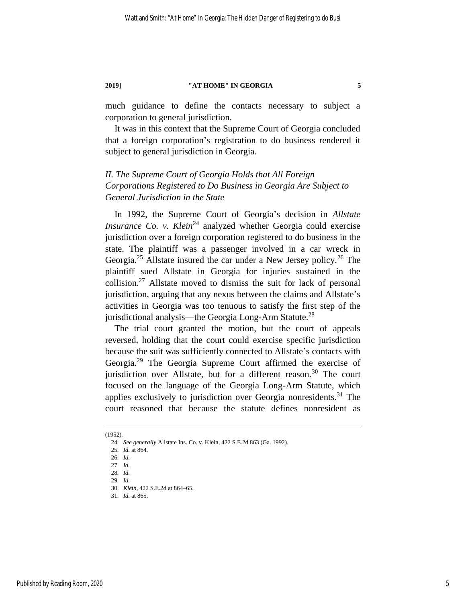much guidance to define the contacts necessary to subject a corporation to general jurisdiction.

It was in this context that the Supreme Court of Georgia concluded that a foreign corporation's registration to do business rendered it subject to general jurisdiction in Georgia.

## *II. The Supreme Court of Georgia Holds that All Foreign Corporations Registered to Do Business in Georgia Are Subject to General Jurisdiction in the State*

In 1992, the Supreme Court of Georgia's decision in *Allstate Insurance Co. v. Klein*<sup>24</sup> analyzed whether Georgia could exercise jurisdiction over a foreign corporation registered to do business in the state. The plaintiff was a passenger involved in a car wreck in Georgia.<sup>25</sup> Allstate insured the car under a New Jersey policy.<sup>26</sup> The plaintiff sued Allstate in Georgia for injuries sustained in the collision.<sup>27</sup> Allstate moved to dismiss the suit for lack of personal jurisdiction, arguing that any nexus between the claims and Allstate's activities in Georgia was too tenuous to satisfy the first step of the jurisdictional analysis—the Georgia Long-Arm Statute.<sup>28</sup>

The trial court granted the motion, but the court of appeals reversed, holding that the court could exercise specific jurisdiction because the suit was sufficiently connected to Allstate's contacts with Georgia.<sup>29</sup> The Georgia Supreme Court affirmed the exercise of jurisdiction over Allstate, but for a different reason.<sup>30</sup> The court focused on the language of the Georgia Long-Arm Statute, which applies exclusively to jurisdiction over Georgia nonresidents.<sup>31</sup> The court reasoned that because the statute defines nonresident as

<sup>(1952).</sup>

<sup>24</sup>*. See generally* Allstate Ins. Co. v. Klein, 422 S.E.2d 863 (Ga. 1992).

<sup>25</sup>*. Id.* at 864.

<sup>26</sup>*. Id.*

<sup>27</sup>*. Id.*

<sup>28</sup>*. Id.*

<sup>29</sup>*. Id.*

<sup>30</sup>*. Klein*, 422 S.E.2d at 864–65.

<sup>31</sup>*. Id.* at 865.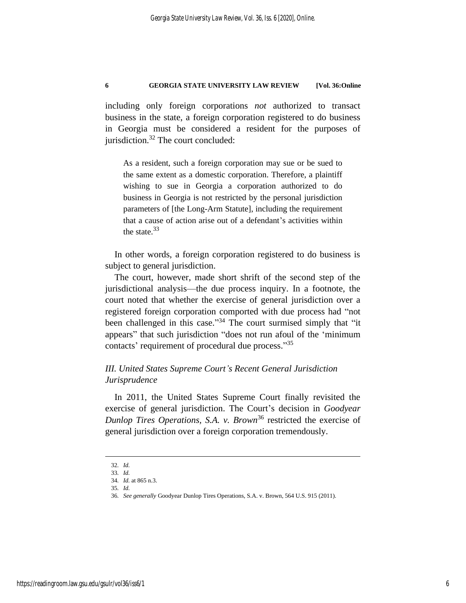including only foreign corporations *not* authorized to transact business in the state, a foreign corporation registered to do business in Georgia must be considered a resident for the purposes of jurisdiction.<sup>32</sup> The court concluded:

As a resident, such a foreign corporation may sue or be sued to the same extent as a domestic corporation. Therefore, a plaintiff wishing to sue in Georgia a corporation authorized to do business in Georgia is not restricted by the personal jurisdiction parameters of [the Long-Arm Statute], including the requirement that a cause of action arise out of a defendant's activities within the state.<sup>33</sup>

In other words, a foreign corporation registered to do business is subject to general jurisdiction.

The court, however, made short shrift of the second step of the jurisdictional analysis—the due process inquiry. In a footnote, the court noted that whether the exercise of general jurisdiction over a registered foreign corporation comported with due process had "not been challenged in this case."<sup>34</sup> The court surmised simply that "it appears" that such jurisdiction "does not run afoul of the 'minimum contacts' requirement of procedural due process."<sup>35</sup>

## *III. United States Supreme Court's Recent General Jurisdiction Jurisprudence*

In 2011, the United States Supreme Court finally revisited the exercise of general jurisdiction. The Court's decision in *Goodyear Dunlop Tires Operations, S.A. v. Brown*<sup>36</sup> restricted the exercise of general jurisdiction over a foreign corporation tremendously.

<sup>32</sup>*. Id.* 33*. Id.*

<sup>34</sup>*. Id.* at 865 n.3.

<sup>35</sup>*. Id.*

<sup>36</sup>*. See generally* Goodyear Dunlop Tires Operations, S.A. v. Brown, 564 U.S. 915 (2011).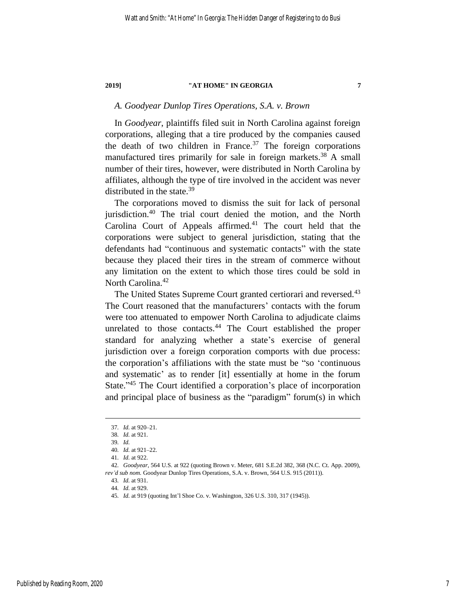## *A. Goodyear Dunlop Tires Operations, S.A. v. Brown*

In *Goodyear*, plaintiffs filed suit in North Carolina against foreign corporations, alleging that a tire produced by the companies caused the death of two children in France.<sup>37</sup> The foreign corporations manufactured tires primarily for sale in foreign markets.<sup>38</sup> A small number of their tires, however, were distributed in North Carolina by affiliates, although the type of tire involved in the accident was never distributed in the state.<sup>39</sup>

The corporations moved to dismiss the suit for lack of personal jurisdiction.<sup>40</sup> The trial court denied the motion, and the North Carolina Court of Appeals affirmed.<sup>41</sup> The court held that the corporations were subject to general jurisdiction, stating that the defendants had "continuous and systematic contacts" with the state because they placed their tires in the stream of commerce without any limitation on the extent to which those tires could be sold in North Carolina.<sup>42</sup>

The United States Supreme Court granted certiorari and reversed.<sup>43</sup> The Court reasoned that the manufacturers' contacts with the forum were too attenuated to empower North Carolina to adjudicate claims unrelated to those contacts.<sup>44</sup> The Court established the proper standard for analyzing whether a state's exercise of general jurisdiction over a foreign corporation comports with due process: the corporation's affiliations with the state must be "so 'continuous and systematic' as to render [it] essentially at home in the forum State."<sup>45</sup> The Court identified a corporation's place of incorporation and principal place of business as the "paradigm" forum(s) in which

<sup>37</sup>*. Id.* at 920–21.

<sup>38</sup>*. Id.* at 921.

<sup>39</sup>*. Id.*

<sup>40</sup>*. Id.* at 921–22.

<sup>41</sup>*. Id.* at 922.

<sup>42</sup>*. Goodyear*, 564 U.S. at 922 (quoting Brown v. Meter, 681 S.E.2d 382, 368 (N.C. Ct. App. 2009), *rev'd sub nom.* Goodyear Dunlop Tires Operations, S.A. v. Brown, 564 U.S. 915 (2011)).

<sup>43</sup>*. Id.* at 931.

<sup>44</sup>*. Id.* at 929.

<sup>45</sup>*. Id.* at 919 (quoting Int'l Shoe Co. v. Washington, 326 U.S. 310, 317 (1945)).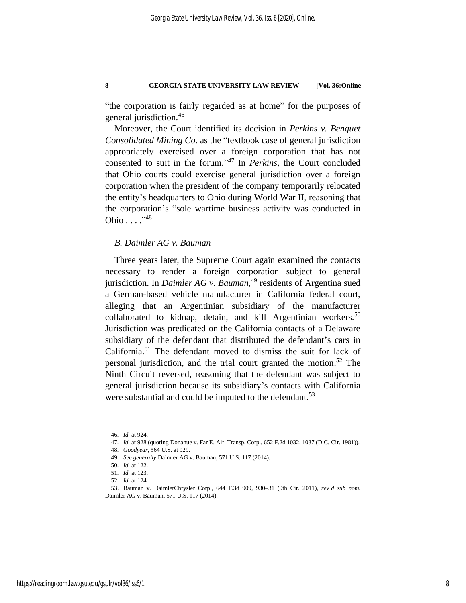"the corporation is fairly regarded as at home" for the purposes of general jurisdiction.<sup>46</sup>

Moreover, the Court identified its decision in *Perkins v. Benguet Consolidated Mining Co.* as the "textbook case of general jurisdiction appropriately exercised over a foreign corporation that has not consented to suit in the forum." <sup>47</sup> In *Perkins*, the Court concluded that Ohio courts could exercise general jurisdiction over a foreign corporation when the president of the company temporarily relocated the entity's headquarters to Ohio during World War II, reasoning that the corporation's "sole wartime business activity was conducted in Ohio  $\dots$ ." $48$ 

## *B. Daimler AG v. Bauman*

Three years later, the Supreme Court again examined the contacts necessary to render a foreign corporation subject to general jurisdiction. In *Daimler AG v. Bauman*, <sup>49</sup> residents of Argentina sued a German-based vehicle manufacturer in California federal court, alleging that an Argentinian subsidiary of the manufacturer collaborated to kidnap, detain, and kill Argentinian workers.<sup>50</sup> Jurisdiction was predicated on the California contacts of a Delaware subsidiary of the defendant that distributed the defendant's cars in California.<sup>51</sup> The defendant moved to dismiss the suit for lack of personal jurisdiction, and the trial court granted the motion. <sup>52</sup> The Ninth Circuit reversed, reasoning that the defendant was subject to general jurisdiction because its subsidiary's contacts with California were substantial and could be imputed to the defendant.<sup>53</sup>

<sup>46</sup>*. Id.* at 924.

<sup>47</sup>*. Id.* at 928 (quoting Donahue v. Far E. Air. Transp. Corp., 652 F.2d 1032, 1037 (D.C. Cir. 1981)).

<sup>48</sup>*. Goodyear*, 564 U.S. at 929.

<sup>49</sup>*. See generally* Daimler AG v. Bauman, 571 U.S. 117 (2014).

<sup>50</sup>*. Id.* at 122.

<sup>51</sup>*. Id.* at 123.

<sup>52</sup>*. Id.* at 124.

<sup>53.</sup> Bauman v. DaimlerChrysler Corp., 644 F.3d 909, 930–31 (9th Cir. 2011), *rev'd sub nom.* Daimler AG v. Bauman, 571 U.S. 117 (2014).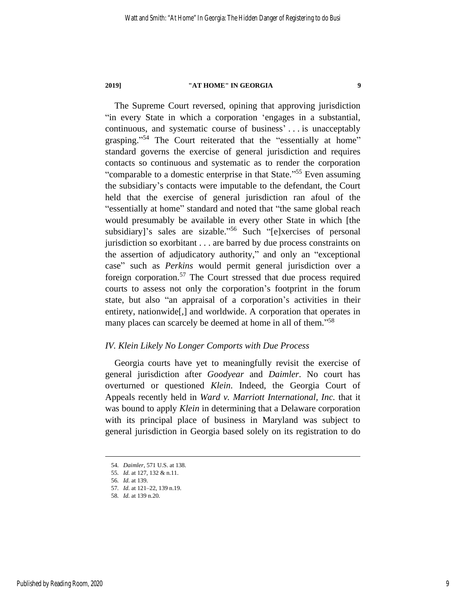The Supreme Court reversed, opining that approving jurisdiction "in every State in which a corporation 'engages in a substantial, continuous, and systematic course of business' . . . is unacceptably grasping."<sup>54</sup> The Court reiterated that the "essentially at home" standard governs the exercise of general jurisdiction and requires contacts so continuous and systematic as to render the corporation "comparable to a domestic enterprise in that State."<sup>55</sup> Even assuming the subsidiary's contacts were imputable to the defendant, the Court held that the exercise of general jurisdiction ran afoul of the "essentially at home" standard and noted that "the same global reach would presumably be available in every other State in which [the subsidiary]'s sales are sizable."<sup>56</sup> Such "[e]xercises of personal jurisdiction so exorbitant . . . are barred by due process constraints on the assertion of adjudicatory authority," and only an "exceptional case" such as *Perkins* would permit general jurisdiction over a foreign corporation.<sup>57</sup> The Court stressed that due process required courts to assess not only the corporation's footprint in the forum state, but also "an appraisal of a corporation's activities in their entirety, nationwide[,] and worldwide. A corporation that operates in many places can scarcely be deemed at home in all of them."<sup>58</sup>

## *IV. Klein Likely No Longer Comports with Due Process*

Georgia courts have yet to meaningfully revisit the exercise of general jurisdiction after *Goodyear* and *Daimler*. No court has overturned or questioned *Klein*. Indeed, the Georgia Court of Appeals recently held in *Ward v. Marriott International, Inc.* that it was bound to apply *Klein* in determining that a Delaware corporation with its principal place of business in Maryland was subject to general jurisdiction in Georgia based solely on its registration to do

<sup>54</sup>*. Daimler*, 571 U.S. at 138.

<sup>55</sup>*. Id.* at 127, 132 & n.11.

<sup>56</sup>*. Id.* at 139.

<sup>57</sup>*. Id.* at 121–22, 139 n.19.

<sup>58</sup>*. Id.* at 139 n.20.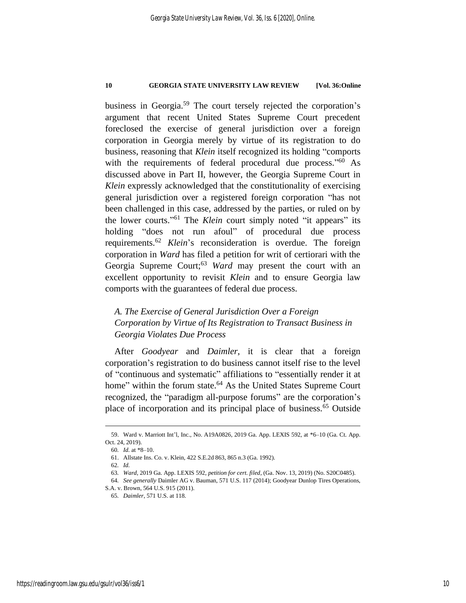business in Georgia.<sup>59</sup> The court tersely rejected the corporation's argument that recent United States Supreme Court precedent foreclosed the exercise of general jurisdiction over a foreign corporation in Georgia merely by virtue of its registration to do business, reasoning that *Klein* itself recognized its holding "comports with the requirements of federal procedural due process."<sup>60</sup> As discussed above in Part II, however, the Georgia Supreme Court in *Klein* expressly acknowledged that the constitutionality of exercising general jurisdiction over a registered foreign corporation "has not been challenged in this case, addressed by the parties, or ruled on by the lower courts." <sup>61</sup> The *Klein* court simply noted "it appears" its holding "does not run afoul" of procedural due process requirements.<sup>62</sup> *Klein*'s reconsideration is overdue. The foreign corporation in *Ward* has filed a petition for writ of certiorari with the Georgia Supreme Court;<sup>63</sup> *Ward* may present the court with an excellent opportunity to revisit *Klein* and to ensure Georgia law comports with the guarantees of federal due process.

## *A. The Exercise of General Jurisdiction Over a Foreign Corporation by Virtue of Its Registration to Transact Business in Georgia Violates Due Process*

After *Goodyear* and *Daimler*, it is clear that a foreign corporation's registration to do business cannot itself rise to the level of "continuous and systematic" affiliations to "essentially render it at home" within the forum state.<sup>64</sup> As the United States Supreme Court recognized, the "paradigm all-purpose forums" are the corporation's place of incorporation and its principal place of business.<sup>65</sup> Outside

<sup>59.</sup> Ward v. Marriott Int'l, Inc., No. A19A0826, 2019 Ga. App. LEXIS 592, at \*6–10 (Ga. Ct. App. Oct. 24, 2019).

<sup>60</sup>*. Id.* at \*8–10.

<sup>61.</sup> Allstate Ins. Co. v. Klein, 422 S.E.2d 863, 865 n.3 (Ga. 1992).

<sup>62</sup>*. Id.*

<sup>63</sup>*. Ward*, 2019 Ga. App. LEXIS 592, *petition for cert. filed*, (Ga. Nov. 13, 2019) (No. S20C0485).

<sup>64</sup>*. See generally* Daimler AG v. Bauman, 571 U.S. 117 (2014); Goodyear Dunlop Tires Operations,

S.A. v. Brown, 564 U.S. 915 (2011).

<sup>65</sup>*. Daimler*, 571 U.S. at 118.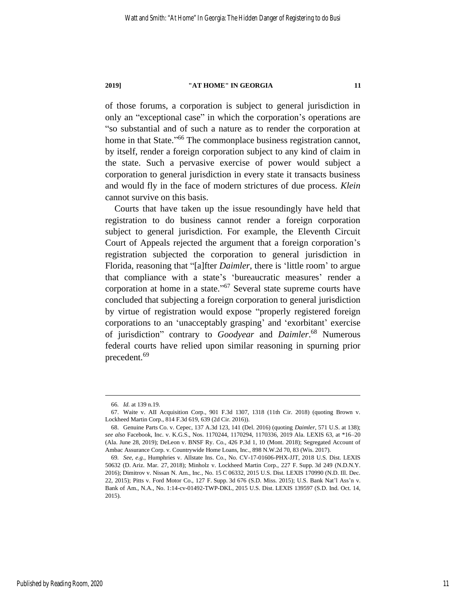of those forums, a corporation is subject to general jurisdiction in only an "exceptional case" in which the corporation's operations are "so substantial and of such a nature as to render the corporation at home in that State."<sup>66</sup> The commonplace business registration cannot, by itself, render a foreign corporation subject to any kind of claim in the state. Such a pervasive exercise of power would subject a corporation to general jurisdiction in every state it transacts business and would fly in the face of modern strictures of due process. *Klein* cannot survive on this basis.

Courts that have taken up the issue resoundingly have held that registration to do business cannot render a foreign corporation subject to general jurisdiction. For example, the Eleventh Circuit Court of Appeals rejected the argument that a foreign corporation's registration subjected the corporation to general jurisdiction in Florida, reasoning that "[a]fter *Daimler*, there is 'little room' to argue that compliance with a state's 'bureaucratic measures' render a corporation at home in a state."<sup>67</sup> Several state supreme courts have concluded that subjecting a foreign corporation to general jurisdiction by virtue of registration would expose "properly registered foreign corporations to an 'unacceptably grasping' and 'exorbitant' exercise of jurisdiction" contrary to *Goodyear* and *Daimler*. <sup>68</sup> Numerous federal courts have relied upon similar reasoning in spurning prior precedent.<sup>69</sup>

<sup>66</sup>*. Id.* at 139 n.19.

<sup>67.</sup> Waite v. AII Acquisition Corp., 901 F.3d 1307, 1318 (11th Cir. 2018) (quoting Brown v. Lockheed Martin Corp., 814 F.3d 619, 639 (2d Cir. 2016)).

<sup>68.</sup> Genuine Parts Co. v. Cepec, 137 A.3d 123, 141 (Del. 2016) (quoting *Daimler*, 571 U.S. at 138); *see also* Facebook, Inc. v. K.G.S., Nos. 1170244, 1170294, 1170336, 2019 Ala. LEXIS 63, at \*16–20 (Ala. June 28, 2019); DeLeon v. BNSF Ry. Co., 426 P.3d 1, 10 (Mont. 2018); Segregated Account of Ambac Assurance Corp. v. Countrywide Home Loans, Inc., 898 N.W.2d 70, 83 (Wis. 2017).

<sup>69</sup>*. See, e.g.*, Humphries v. Allstate Ins. Co., No. CV-17-01606-PHX-JJT, 2018 U.S. Dist. LEXIS 50632 (D. Ariz. Mar. 27, 2018); Minholz v. Lockheed Martin Corp., 227 F. Supp. 3d 249 (N.D.N.Y. 2016); Dimitrov v. Nissan N. Am., Inc., No. 15 C 06332, 2015 U.S. Dist. LEXIS 170990 (N.D. Ill. Dec. 22, 2015); Pitts v. Ford Motor Co., 127 F. Supp. 3d 676 (S.D. Miss. 2015); U.S. Bank Nat'l Ass'n v. Bank of Am., N.A., No. 1:14-cv-01492-TWP-DKL, 2015 U.S. Dist. LEXIS 139597 (S.D. Ind. Oct. 14, 2015).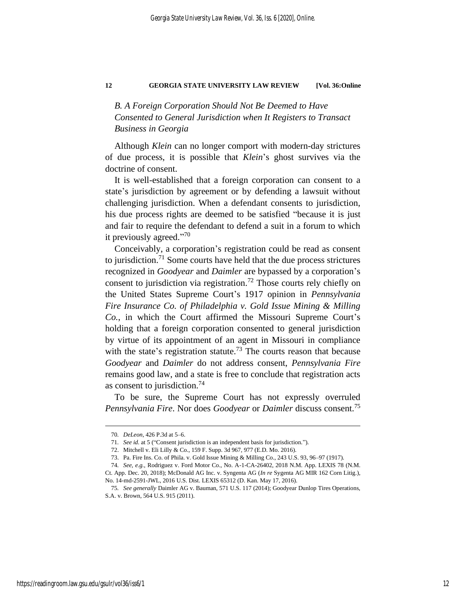## *B. A Foreign Corporation Should Not Be Deemed to Have Consented to General Jurisdiction when It Registers to Transact Business in Georgia*

Although *Klein* can no longer comport with modern-day strictures of due process, it is possible that *Klein*'s ghost survives via the doctrine of consent.

It is well-established that a foreign corporation can consent to a state's jurisdiction by agreement or by defending a lawsuit without challenging jurisdiction. When a defendant consents to jurisdiction, his due process rights are deemed to be satisfied "because it is just and fair to require the defendant to defend a suit in a forum to which it previously agreed."<sup>70</sup>

Conceivably, a corporation's registration could be read as consent to jurisdiction.<sup>71</sup> Some courts have held that the due process strictures recognized in *Goodyear* and *Daimler* are bypassed by a corporation's consent to jurisdiction via registration.<sup>72</sup> Those courts rely chiefly on the United States Supreme Court's 1917 opinion in *Pennsylvania Fire Insurance Co. of Philadelphia v. Gold Issue Mining & Milling Co.*, in which the Court affirmed the Missouri Supreme Court's holding that a foreign corporation consented to general jurisdiction by virtue of its appointment of an agent in Missouri in compliance with the state's registration statute.<sup>73</sup> The courts reason that because *Goodyear* and *Daimler* do not address consent, *Pennsylvania Fire* remains good law, and a state is free to conclude that registration acts as consent to jurisdiction.<sup>74</sup>

To be sure, the Supreme Court has not expressly overruled *Pennsylvania Fire*. Nor does *Goodyear* or *Daimler* discuss consent.<sup>75</sup>

<sup>70</sup>*. DeLeon*, 426 P.3d at 5–6.

<sup>71</sup>*. See id.* at 5 ("Consent jurisdiction is an independent basis for jurisdiction.").

<sup>72.</sup> Mitchell v. Eli Lilly & Co., 159 F. Supp. 3d 967, 977 (E.D. Mo. 2016).

<sup>73.</sup> Pa. Fire Ins. Co. of Phila. v. Gold Issue Mining & Milling Co., 243 U.S. 93, 96–97 (1917).

<sup>74</sup>*. See, e.g.*, Rodriguez v. Ford Motor Co., No. A-1-CA-26402, 2018 N.M. App. LEXIS 78 (N.M.

Ct. App. Dec. 20, 2018); McDonald AG Inc. v. Syngenta AG (*In re* Sygenta AG MIR 162 Corn Litig.), No. 14-md-2591-JWL, 2016 U.S. Dist. LEXIS 65312 (D. Kan. May 17, 2016).

<sup>75</sup>*. See generally* Daimler AG v. Bauman, 571 U.S. 117 (2014); Goodyear Dunlop Tires Operations, S.A. v. Brown, 564 U.S. 915 (2011).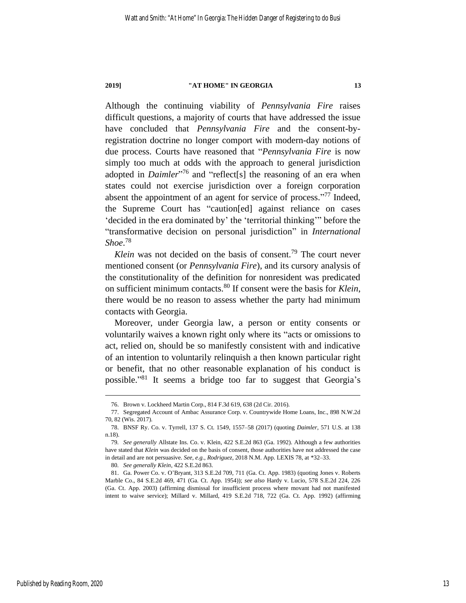Although the continuing viability of *Pennsylvania Fire* raises difficult questions, a majority of courts that have addressed the issue have concluded that *Pennsylvania Fire* and the consent-byregistration doctrine no longer comport with modern-day notions of due process. Courts have reasoned that "*Pennsylvania Fire* is now simply too much at odds with the approach to general jurisdiction adopted in *Daimler*<sup>,76</sup> and "reflect[s] the reasoning of an era when states could not exercise jurisdiction over a foreign corporation absent the appointment of an agent for service of process."<sup>77</sup> Indeed, the Supreme Court has "caution[ed] against reliance on cases 'decided in the era dominated by' the 'territorial thinking'" before the "transformative decision on personal jurisdiction" in *International Shoe*. 78

*Klein* was not decided on the basis of consent.<sup>79</sup> The court never mentioned consent (or *Pennsylvania Fire*), and its cursory analysis of the constitutionality of the definition for nonresident was predicated on sufficient minimum contacts.<sup>80</sup> If consent were the basis for *Klein*, there would be no reason to assess whether the party had minimum contacts with Georgia.

Moreover, under Georgia law, a person or entity consents or voluntarily waives a known right only where its "acts or omissions to act, relied on, should be so manifestly consistent with and indicative of an intention to voluntarily relinquish a then known particular right or benefit, that no other reasonable explanation of his conduct is possible."<sup>81</sup> It seems a bridge too far to suggest that Georgia's

80*. See generally Klein*, 422 S.E.2d 863.

<sup>76.</sup> Brown v. Lockheed Martin Corp., 814 F.3d 619, 638 (2d Cir. 2016).

<sup>77.</sup> Segregated Account of Ambac Assurance Corp. v. Countrywide Home Loans, Inc., 898 N.W.2d 70, 82 (Wis. 2017).

<sup>78.</sup> BNSF Ry. Co. v. Tyrrell, 137 S. Ct. 1549, 1557–58 (2017) (quoting *Daimler*, 571 U.S. at 138 n.18).

<sup>79</sup>*. See generally* Allstate Ins. Co. v. Klein, 422 S.E.2d 863 (Ga. 1992). Although a few authorities have stated that *Klein* was decided on the basis of consent, those authorities have not addressed the case in detail and are not persuasive. *See, e.g.*, *Rodriguez*, 2018 N.M. App. LEXIS 78, at \*32–33.

<sup>81.</sup> Ga. Power Co. v. O'Bryant, 313 S.E.2d 709, 711 (Ga. Ct. App. 1983) (quoting Jones v. Roberts Marble Co., 84 S.E.2d 469, 471 (Ga. Ct. App. 1954)); *see also* Hardy v. Lucio, 578 S.E.2d 224, 226 (Ga. Ct. App. 2003) (affirming dismissal for insufficient process where movant had not manifested intent to waive service); Millard v. Millard, 419 S.E.2d 718, 722 (Ga. Ct. App. 1992) (affirming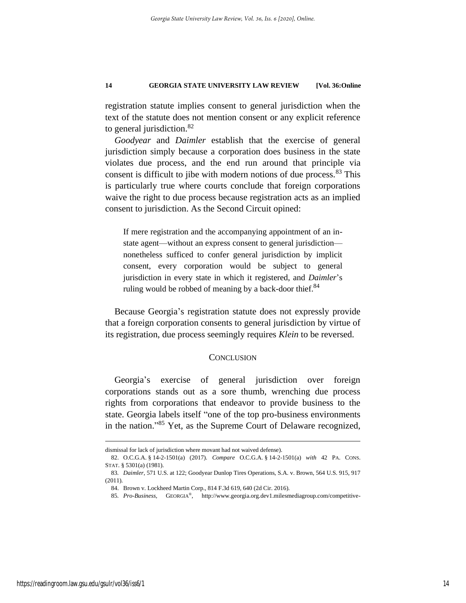registration statute implies consent to general jurisdiction when the text of the statute does not mention consent or any explicit reference to general jurisdiction.<sup>82</sup>

*Goodyear* and *Daimler* establish that the exercise of general jurisdiction simply because a corporation does business in the state violates due process, and the end run around that principle via consent is difficult to jibe with modern notions of due process.<sup>83</sup> This is particularly true where courts conclude that foreign corporations waive the right to due process because registration acts as an implied consent to jurisdiction. As the Second Circuit opined:

If mere registration and the accompanying appointment of an instate agent—without an express consent to general jurisdiction nonetheless sufficed to confer general jurisdiction by implicit consent, every corporation would be subject to general jurisdiction in every state in which it registered, and *Daimler*'s ruling would be robbed of meaning by a back-door thief.<sup>84</sup>

Because Georgia's registration statute does not expressly provide that a foreign corporation consents to general jurisdiction by virtue of its registration, due process seemingly requires *Klein* to be reversed.

### **CONCLUSION**

Georgia's exercise of general jurisdiction over foreign corporations stands out as a sore thumb, wrenching due process rights from corporations that endeavor to provide business to the state. Georgia labels itself "one of the top pro-business environments in the nation."<sup>85</sup> Yet, as the Supreme Court of Delaware recognized,

dismissal for lack of jurisdiction where movant had not waived defense).

<sup>82.</sup> O.C.G.A. § 14-2-1501(a) (2017). *Compare* O.C.G.A. § 14-2-1501(a) *with* 42 PA. CONS. STAT. § 5301(a) (1981).

<sup>83</sup>*. Daimler*, 571 U.S. at 122; Goodyear Dunlop Tires Operations, S.A. v. Brown, 564 U.S. 915, 917 (2011).

<sup>84.</sup> Brown v. Lockheed Martin Corp., 814 F.3d 619, 640 (2d Cir. 2016).

<sup>85</sup>*. Pro-Business*, GEORGIA® , http://www.georgia.org.dev1.milesmediagroup.com/competitive-